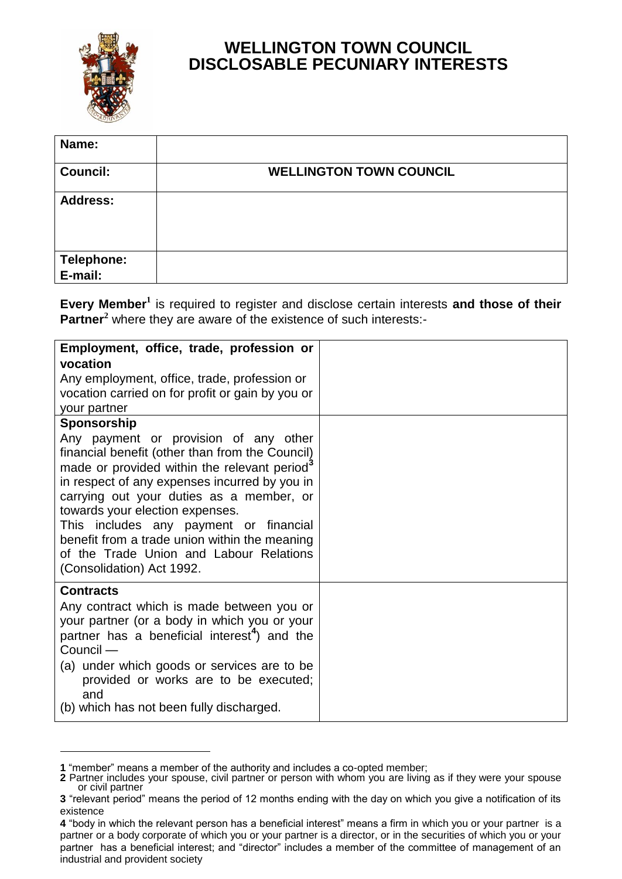

l

## **WELLINGTON TOWN COUNCIL DISCLOSABLE PECUNIARY INTERESTS**

| Name:                 |                                |
|-----------------------|--------------------------------|
| <b>Council:</b>       | <b>WELLINGTON TOWN COUNCIL</b> |
| <b>Address:</b>       |                                |
| Telephone:<br>E-mail: |                                |
|                       |                                |

**Every Member<sup>1</sup>** is required to register and disclose certain interests **and those of their Partner**<sup>2</sup> where they are aware of the existence of such interests:-

| Employment, office, trade, profession or<br>vocation<br>Any employment, office, trade, profession or<br>vocation carried on for profit or gain by you or<br>your partner                                                                                                                                                                                                                                                                                               |  |
|------------------------------------------------------------------------------------------------------------------------------------------------------------------------------------------------------------------------------------------------------------------------------------------------------------------------------------------------------------------------------------------------------------------------------------------------------------------------|--|
| Sponsorship<br>Any payment or provision of any other<br>financial benefit (other than from the Council)<br>made or provided within the relevant period <sup>3</sup><br>in respect of any expenses incurred by you in<br>carrying out your duties as a member, or<br>towards your election expenses.<br>This includes any payment or financial<br>benefit from a trade union within the meaning<br>of the Trade Union and Labour Relations<br>(Consolidation) Act 1992. |  |
| <b>Contracts</b><br>Any contract which is made between you or<br>your partner (or a body in which you or your<br>partner has a beneficial interest <sup>4</sup> ) and the<br>Council -<br>(a) under which goods or services are to be<br>provided or works are to be executed;<br>and<br>(b) which has not been fully discharged.                                                                                                                                      |  |

**<sup>1</sup>** "member" means a member of the authority and includes a co-opted member;

**<sup>2</sup>** Partner includes your spouse, civil partner or person with whom you are living as if they were your spouse or civil partner

**<sup>3</sup>** "relevant period" means the period of 12 months ending with the day on which you give a notification of its existence

**<sup>4</sup>** "body in which the relevant person has a beneficial interest" means a firm in which you or your partner is a partner or a body corporate of which you or your partner is a director, or in the securities of which you or your partner has a beneficial interest; and "director" includes a member of the committee of management of an industrial and provident society